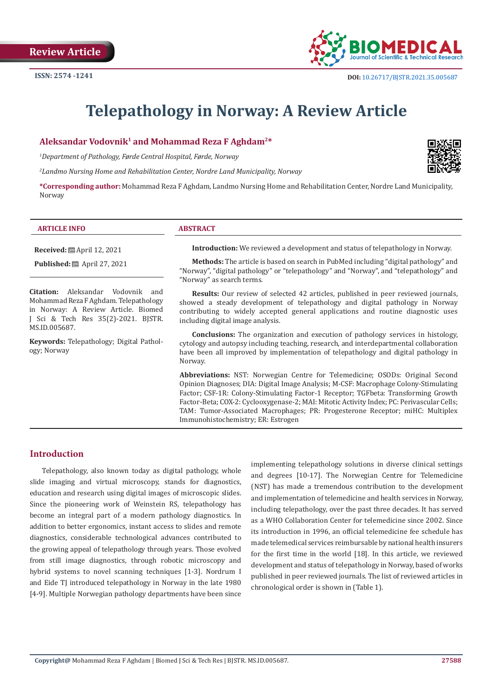

# **Telepathology in Norway: A Review Article**

#### **Aleksandar Vodovnik1 and Mohammad Reza F Aghdam2\***

*1 Department of Pathology, Førde Central Hospital, Førde, Norway*

*2 Landmo Nursing Home and Rehabilitation Center, Nordre Land Municipality, Norway*



**\*Corresponding author:** Mohammad Reza F Aghdam, Landmo Nursing Home and Rehabilitation Center, Nordre Land Municipality, Norway

#### **ARTICLE INFO ABSTRACT**

**Received:** April 12, 2021

**Published:** ■ April 27, 2021

**Citation:** Aleksandar Vodovnik and Mohammad Reza F Aghdam. Telepathology in Norway: A Review Article. Biomed J Sci & Tech Res 35(2)-2021. BJSTR. MS.ID.005687.

**Keywords:** Telepathology; Digital Pathology; Norway

**Introduction:** We reviewed a development and status of telepathology in Norway.

**Methods:** The article is based on search in PubMed including "digital pathology" and "Norway", "digital pathology" or "telepathology" and "Norway", and "telepathology" and "Norway" as search terms.

**Results:** Our review of selected 42 articles, published in peer reviewed journals, showed a steady development of telepathology and digital pathology in Norway contributing to widely accepted general applications and routine diagnostic uses including digital image analysis.

**Conclusions:** The organization and execution of pathology services in histology, cytology and autopsy including teaching, research, and interdepartmental collaboration have been all improved by implementation of telepathology and digital pathology in Norway.

**Abbreviations:** NST: Norwegian Centre for Telemedicine; OSODs: Original Second Opinion Diagnoses; DIA: Digital Image Analysis; M-CSF: Macrophage Colony-Stimulating Factor; CSF-1R: Colony-Stimulating Factor-1 Receptor; TGFbeta: Transforming Growth Factor-Beta; COX-2: Cyclooxygenase-2; MAI: Mitotic Activity Index; PC: Perivascular Cells; TAM: Tumor-Associated Macrophages; PR: Progesterone Receptor; miHC: Multiplex Immunohistochemistry; ER: Estrogen

#### **Introduction**

Telepathology, also known today as digital pathology, whole slide imaging and virtual microscopy, stands for diagnostics, education and research using digital images of microscopic slides. Since the pioneering work of Weinstein RS, telepathology has become an integral part of a modern pathology diagnostics. In addition to better ergonomics, instant access to slides and remote diagnostics, considerable technological advances contributed to the growing appeal of telepathology through years. Those evolved from still image diagnostics, through robotic microscopy and hybrid systems to novel scanning techniques [1-3]. Nordrum I and Eide TJ introduced telepathology in Norway in the late 1980 [4-9]. Multiple Norwegian pathology departments have been since

implementing telepathology solutions in diverse clinical settings and degrees [10-17]. The Norwegian Centre for Telemedicine (NST) has made a tremendous contribution to the development and implementation of telemedicine and health services in Norway, including telepathology, over the past three decades. It has served as a WHO Collaboration Center for telemedicine since 2002. Since its introduction in 1996, an official telemedicine fee schedule has made telemedical services reimbursable by national health insurers for the first time in the world [18]. In this article, we reviewed development and status of telepathology in Norway, based of works published in peer reviewed journals. The list of reviewed articles in chronological order is shown in (Table 1).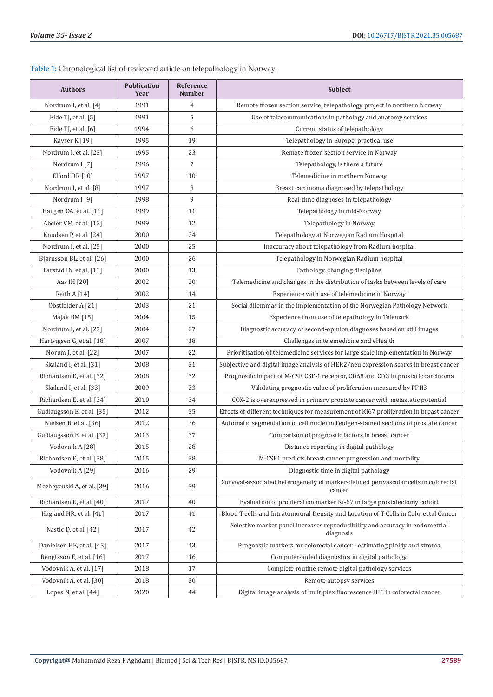**Table 1:** Chronological list of reviewed article on telepathology in Norway.

| <b>Authors</b>             | <b>Publication</b><br>Year | Reference<br><b>Number</b> | Subject                                                                                        |
|----------------------------|----------------------------|----------------------------|------------------------------------------------------------------------------------------------|
| Nordrum I, et al. [4]      | 1991                       | 4                          | Remote frozen section service, telepathology project in northern Norway                        |
| Eide TJ, et al. [5]        | 1991                       | 5                          | Use of telecommunications in pathology and anatomy services                                    |
| Eide TJ, et al. $[6]$      | 1994                       | 6                          | Current status of telepathology                                                                |
| Kayser K [19]              | 1995                       | 19                         | Telepathology in Europe, practical use                                                         |
| Nordrum I, et al. [23]     | 1995                       | 23                         | Remote frozen section service in Norway                                                        |
| Nordrum I [7]              | 1996                       | 7                          | Telepathology, is there a future                                                               |
| Elford DR [10]             | 1997                       | 10                         | Telemedicine in northern Norway                                                                |
| Nordrum I, et al. [8]      | 1997                       | 8                          | Breast carcinoma diagnosed by telepathology                                                    |
| Nordrum I [9]              | 1998                       | 9                          | Real-time diagnoses in telepathology                                                           |
| Haugen OA, et al. [11]     | 1999                       | 11                         | Telepathology in mid-Norway                                                                    |
| Abeler VM, et al. [12]     | 1999                       | 12                         | Telepathology in Norway                                                                        |
| Knudsen P, et al. [24]     | 2000                       | 24                         | Telepathology at Norwegian Radium Hospital                                                     |
| Nordrum I, et al. [25]     | 2000                       | 25                         | Inaccuracy about telepathology from Radium hospital                                            |
| Bjørnsson BL, et al. [26]  | 2000                       | 26                         | Telepathology in Norwegian Radium hospital                                                     |
| Farstad IN, et al. [13]    | 2000                       | 13                         | Pathology, changing discipline                                                                 |
| Aas IH [20]                | 2002                       | 20                         | Telemedicine and changes in the distribution of tasks between levels of care                   |
| Reith $A[14]$              | 2002                       | 14                         | Experience with use of telemedicine in Norway                                                  |
| Obstfelder A [21]          | 2003                       | 21                         | Social dilemmas in the implementation of the Norwegian Pathology Network                       |
| Majak BM [15]              | 2004                       | 15                         | Experience from use of telepathology in Telemark                                               |
| Nordrum I, et al. [27]     | 2004                       | 27                         | Diagnostic accuracy of second-opinion diagnoses based on still images                          |
| Hartvigsen G, et al. [18]  | 2007                       | 18                         | Challenges in telemedicine and eHealth                                                         |
| Norum J, et al. [22]       | 2007                       | 22                         | Prioritisation of telemedicine services for large scale implementation in Norway               |
| Skaland I, et al. [31]     | 2008                       | 31                         | Subjective and digital image analysis of HER2/neu expression scores in breast cancer           |
| Richardsen E, et al. [32]  | 2008                       | 32                         | Prognostic impact of M-CSF, CSF-1 receptor, CD68 and CD3 in prostatic carcinoma                |
| Skaland I, et al. [33]     | 2009                       | 33                         | Validating prognostic value of proliferation measured by PPH3                                  |
| Richardsen E, et al. [34]  | 2010                       | 34                         | COX-2 is overexpressed in primary prostate cancer with metastatic potential                    |
| Gudlaugsson E, et al. [35] | 2012                       | 35                         | Effects of different techniques for measurement of Ki67 proliferation in breast cancer         |
| Nielsen B, et al. [36]     | 2012                       | 36                         | Automatic segmentation of cell nuclei in Feulgen-stained sections of prostate cancer           |
| Gudlaugsson E, et al. [37] | 2013                       | 37                         | Comparison of prognostic factors in breast cancer                                              |
| Vodovnik A [28]            | 2015                       | 28                         | Distance reporting in digital pathology                                                        |
| Richardsen E, et al. [38]  | 2015                       | 38                         | M-CSF1 predicts breast cancer progression and mortality                                        |
| Vodovnik A [29]            | 2016                       | 29                         | Diagnostic time in digital pathology                                                           |
| Mezheyeuski A, et al. [39] | 2016                       | 39                         | Survival-associated heterogeneity of marker-defined perivascular cells in colorectal<br>cancer |
| Richardsen E, et al. [40]  | 2017                       | 40                         | Evaluation of proliferation marker Ki-67 in large prostatectomy cohort                         |
| Hagland HR, et al. [41]    | 2017                       | 41                         | Blood T-cells and Intratumoural Density and Location of T-Cells in Colorectal Cancer           |
| Nastic D, et al. [42]      | 2017                       | 42                         | Selective marker panel increases reproducibility and accuracy in endometrial<br>diagnosis      |
| Danielsen HE, et al. [43]  | 2017                       | 43                         | Prognostic markers for colorectal cancer - estimating ploidy and stroma                        |
| Bengtsson E, et al. [16]   | 2017                       | 16                         | Computer-aided diagnostics in digital pathology.                                               |
| Vodovnik A, et al. [17]    | 2018                       | 17                         | Complete routine remote digital pathology services                                             |
| Vodovnik A, et al. [30]    | 2018                       | 30                         | Remote autopsy services                                                                        |
| Lopes N, et al. $[44]$     | 2020                       | 44                         | Digital image analysis of multiplex fluorescence IHC in colorectal cancer                      |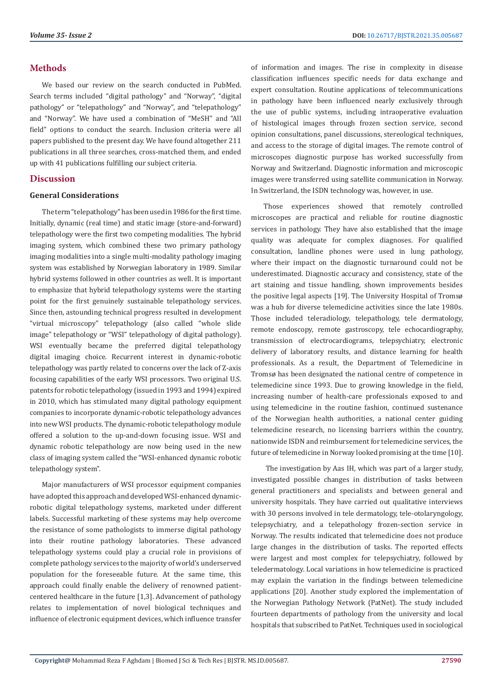#### **Methods**

We based our review on the search conducted in PubMed. Search terms included "digital pathology" and "Norway", "digital pathology" or "telepathology" and "Norway", and "telepathology" and "Norway". We have used a combination of "MeSH" and "All field" options to conduct the search. Inclusion criteria were all papers published to the present day. We have found altogether 211 publications in all three searches, cross-matched them, and ended up with 41 publications fulfilling our subject criteria.

#### **Discussion**

#### **General Considerations**

The term "telepathology" has been used in 1986 for the first time. Initially, dynamic (real time) and static image (store-and-forward) telepathology were the first two competing modalities. The hybrid imaging system, which combined these two primary pathology imaging modalities into a single multi-modality pathology imaging system was established by Norwegian laboratory in 1989. Similar hybrid systems followed in other countries as well. It is important to emphasize that hybrid telepathology systems were the starting point for the first genuinely sustainable telepathology services. Since then, astounding technical progress resulted in development "virtual microscopy" telepathology (also called "whole slide image" telepathology or "WSI" telepathology of digital pathology). WSI eventually became the preferred digital telepathology digital imaging choice. Recurrent interest in dynamic-robotic telepathology was partly related to concerns over the lack of Z-axis focusing capabilities of the early WSI processors. Two original U.S. patents for robotic telepathology (issued in 1993 and 1994) expired in 2010, which has stimulated many digital pathology equipment companies to incorporate dynamic-robotic telepathology advances into new WSI products. The dynamic-robotic telepathology module offered a solution to the up-and-down focusing issue. WSI and dynamic robotic telepathology are now being used in the new class of imaging system called the "WSI-enhanced dynamic robotic telepathology system".

Major manufacturers of WSI processor equipment companies have adopted this approach and developed WSI-enhanced dynamicrobotic digital telepathology systems, marketed under different labels. Successful marketing of these systems may help overcome the resistance of some pathologists to immerse digital pathology into their routine pathology laboratories. These advanced telepathology systems could play a crucial role in provisions of complete pathology services to the majority of world's underserved population for the foreseeable future. At the same time, this approach could finally enable the delivery of renowned patientcentered healthcare in the future [1,3]. Advancement of pathology relates to implementation of novel biological techniques and influence of electronic equipment devices, which influence transfer

of information and images. The rise in complexity in disease classification influences specific needs for data exchange and expert consultation. Routine applications of telecommunications in pathology have been influenced nearly exclusively through the use of public systems, including intraoperative evaluation of histological images through frozen section service, second opinion consultations, panel discussions, stereological techniques, and access to the storage of digital images. The remote control of microscopes diagnostic purpose has worked successfully from Norway and Switzerland. Diagnostic information and microscopic images were transferred using satellite communication in Norway. In Switzerland, the ISDN technology was, however, in use.

Those experiences showed that remotely controlled microscopes are practical and reliable for routine diagnostic services in pathology. They have also established that the image quality was adequate for complex diagnoses. For qualified consultation, landline phones were used in lung pathology, where their impact on the diagnostic turnaround could not be underestimated. Diagnostic accuracy and consistency, state of the art staining and tissue handling, shown improvements besides the positive legal aspects [19]. The University Hospital of Tromsø was a hub for diverse telemedicine activities since the late 1980s. Those included teleradiology, telepathology, tele dermatology, remote endoscopy, remote gastroscopy, tele echocardiography, transmission of electrocardiograms, telepsychiatry, electronic delivery of laboratory results, and distance learning for health professionals. As a result, the Department of Telemedicine in Tromsø has been designated the national centre of competence in telemedicine since 1993. Due to growing knowledge in the field, increasing number of health-care professionals exposed to and using telemedicine in the routine fashion, continued sustenance of the Norwegian health authorities, a national center guiding telemedicine research, no licensing barriers within the country, nationwide ISDN and reimbursement for telemedicine services, the future of telemedicine in Norway looked promising at the time [10].

 The investigation by Aas IH, which was part of a larger study, investigated possible changes in distribution of tasks between general practitioners and specialists and between general and university hospitals. They have carried out qualitative interviews with 30 persons involved in tele dermatology, tele-otolaryngology, telepsychiatry, and a telepathology frozen-section service in Norway. The results indicated that telemedicine does not produce large changes in the distribution of tasks. The reported effects were largest and most complex for telepsychiatry, followed by teledermatology. Local variations in how telemedicine is practiced may explain the variation in the findings between telemedicine applications [20]. Another study explored the implementation of the Norwegian Pathology Network (PatNet). The study included fourteen departments of pathology from the university and local hospitals that subscribed to PatNet. Techniques used in sociological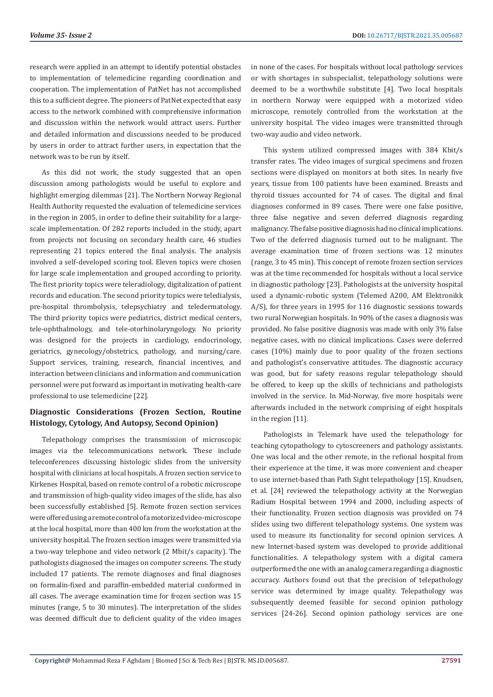research were applied in an attempt to identify potential obstacles to implementation of telemedicine regarding coordination and cooperation. The implementation of PatNet has not accomplished this to a sufficient degree. The pioneers of PatNet expected that easy access to the network combined with comprehensive information and discussion within the network would attract users. Further and detailed information and discussions needed to be produced by users in order to attract further users, in expectation that the network was to be run by itself.

As this did not work, the study suggested that an open discussion among pathologists would be useful to explore and highlight emerging dilemmas [21]. The Northern Norway Regional Health Authority requested the evaluation of telemedicine services in the region in 2005, in order to define their suitability for a largescale implementation. Of 282 reports included in the study, apart from projects not focusing on secondary health care, 46 studies representing 21 topics entered the final analysis. The analysis involved a self-developed scoring tool. Eleven topics were chosen for large scale implementation and grouped according to priority. The first priority topics were teleradiology, digitalization of patient records and education. The second priority topics were teledialysis, pre-hospital thrombolysis, telepsychiatry and teledermatology. The third priority topics were pediatrics, district medical centers, tele-ophthalmology, and tele-otorhinolaryngology. No priority was designed for the projects in cardiology, endocrinology, geriatrics, gynecology/obstetrics, pathology, and nursing/care. Support services, training, research, financial incentives, and interaction between clinicians and information and communication personnel were put forward as important in motivating health-care professional to use telemedicine [22].

### **Diagnostic Considerations (Frozen Section, Routine Histology, Cytology, And Autopsy, Second Opinion)**

Telepathology comprises the transmission of microscopic images via the telecommunications network. These include teleconferences discussing histologic slides from the university hospital with clinicians at local hospitals. A frozen section service to Kirkenes Hospital, based on remote control of a robotic microscope and transmission of high-quality video images of the slide, has also been successfully established [5]. Remote frozen section services were offered using a remote control of a motorized video-microscope at the local hospital, more than 400 km from the workstation at the university hospital. The frozen section images were transmitted via a two-way telephone and video network (2 Mbit/s capacity). The pathologists diagnosed the images on computer screens. The study included 17 patients. The remote diagnoses and final diagnoses on formalin-fixed and paraffin-embedded material conformed in all cases. The average examination time for frozen section was 15 minutes (range, 5 to 30 minutes). The interpretation of the slides was deemed difficult due to deficient quality of the video images

in none of the cases. For hospitals without local pathology services or with shortages in subspecialist, telepathology solutions were deemed to be a worthwhile substitute [4]. Two local hospitals in northern Norway were equipped with a motorized video microscope, remotely controlled from the workstation at the university hospital. The video images were transmitted through two-way audio and video network.

This system utilized compressed images with 384 Kbit/s transfer rates. The video images of surgical specimens and frozen sections were displayed on monitors at both sites. In nearly five years, tissue from 100 patients have been examined. Breasts and thyroid tissues accounted for 74 of cases. The digital and final diagnoses conformed in 89 cases. There were one false positive, three false negative and seven deferred diagnosis regarding malignancy. The false positive diagnosis had no clinical implications. Two of the deferred diagnosis turned out to be malignant. The average examination time of frozen sections was 12 minutes (range, 3 to 45 min). This concept of remote frozen section services was at the time recommended for hospitals without a local service in diagnostic pathology [23]. Pathologists at the university hospital used a dynamic-robotic system (Telemed A200, AM Elektronikk A/S), for three years in 1995 for 116 diagnostic sessions towards two rural Norwegian hospitals. In 90% of the cases a diagnosis was provided. No false positive diagnosis was made with only 3% false negative cases, with no clinical implications. Cases were deferred cases (10%) mainly due to poor quality of the frozen sections and pathologist's conservative attitudes. The diagnostic accuracy was good, but for safety reasons regular telepathology should be offered, to keep up the skills of technicians and pathologists involved in the service. In Mid-Norway, five more hospitals were afterwards included in the network comprising of eight hospitals in the region [11].

Pathologists in Telemark have used the telepathology for teaching cytopathology to cytoscreeners and pathology assistants. One was local and the other remote, in the refional hospital from their experience at the time, it was more convenient and cheaper to use internet-based than Path Sight telepathology [15]. Knudsen, et al. [24] reviewed the telepathology activity at the Norwegian Radium Hospital between 1994 and 2000, including aspects of their functionality. Frozen section diagnosis was provided on 74 slides using two different telepathology systems. One system was used to measure its functionality for second opinion services. A new Internet-based system was developed to provide additional functionalities. A telepathology system with a digital camera outperformed the one with an analog camera regarding a diagnostic accuracy. Authors found out that the precision of telepathology service was determined by image quality. Telepathology was subsequently deemed feasible for second opinion pathology services [24-26]. Second opinion pathology services are one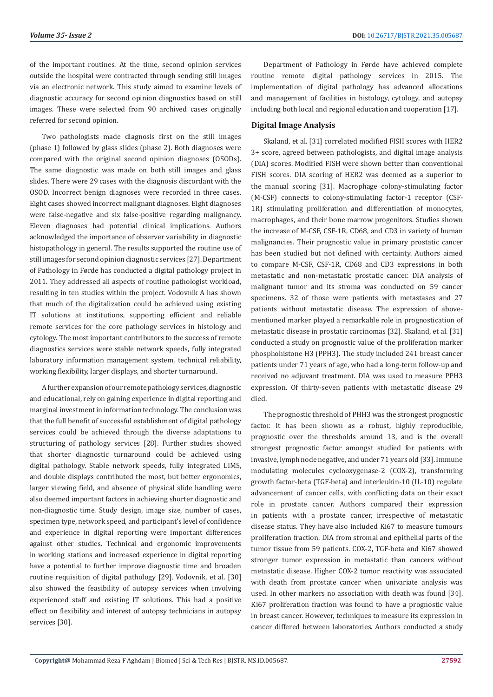of the important routines. At the time, second opinion services outside the hospital were contracted through sending still images via an electronic network. This study aimed to examine levels of diagnostic accuracy for second opinion diagnostics based on still images. These were selected from 90 archived cases originally referred for second opinion.

Two pathologists made diagnosis first on the still images (phase 1) followed by glass slides (phase 2). Both diagnoses were compared with the original second opinion diagnoses (OSODs). The same diagnostic was made on both still images and glass slides. There were 29 cases with the diagnosis discordant with the OSOD. Incorrect benign diagnoses were recorded in three cases. Eight cases showed incorrect malignant diagnoses. Eight diagnoses were false-negative and six false-positive regarding malignancy. Eleven diagnoses had potential clinical implications. Authors acknowledged the importance of observer variability in diagnostic histopathology in general. The results supported the routine use of still images for second opinion diagnostic services [27]. Department of Pathology in Førde has conducted a digital pathology project in 2011. They addressed all aspects of routine pathologist workload, resulting in ten studies within the project. Vodovnik A has shown that much of the digitalization could be achieved using existing IT solutions at institutions, supporting efficient and reliable remote services for the core pathology services in histology and cytology. The most important contributors to the success of remote diagnostics services were stable network speeds, fully integrated laboratory information management system, technical reliability, working flexibility, larger displays, and shorter turnaround.

A further expansion of our remote pathology services, diagnostic and educational, rely on gaining experience in digital reporting and marginal investment in information technology. The conclusion was that the full benefit of successful establishment of digital pathology services could be achieved through the diverse adaptations to structuring of pathology services [28]. Further studies showed that shorter diagnostic turnaround could be achieved using digital pathology. Stable network speeds, fully integrated LIMS, and double displays contributed the most, but better ergonomics, larger viewing field, and absence of physical slide handling were also deemed important factors in achieving shorter diagnostic and non-diagnostic time. Study design, image size, number of cases, specimen type, network speed, and participant's level of confidence and experience in digital reporting were important differences against other studies. Technical and ergonomic improvements in working stations and increased experience in digital reporting have a potential to further improve diagnostic time and broaden routine requisition of digital pathology [29]. Vodovnik, et al. [30] also showed the feasibility of autopsy services when involving experienced staff and existing IT solutions. This had a positive effect on flexibility and interest of autopsy technicians in autopsy services [30].

Department of Pathology in Førde have achieved complete routine remote digital pathology services in 2015. The implementation of digital pathology has advanced allocations and management of facilities in histology, cytology, and autopsy including both local and regional education and cooperation [17].

#### **Digital Image Analysis**

Skaland, et al. [31] correlated modified FISH scores with HER2 3+ score, agreed between pathologists, and digital image analysis (DIA) scores. Modified FISH were shown better than conventional FISH scores. DIA scoring of HER2 was deemed as a superior to the manual scoring [31]. Macrophage colony-stimulating factor (M-CSF) connects to colony-stimulating factor-1 receptor (CSF-1R) stimulating proliferation and differentiation of monocytes, macrophages, and their bone marrow progenitors. Studies shown the increase of M-CSF, CSF-1R, CD68, and CD3 in variety of human malignancies. Their prognostic value in primary prostatic cancer has been studied but not defined with certainty. Authors aimed to compare M-CSF, CSF-1R, CD68 and CD3 expressions in both metastatic and non-metastatic prostatic cancer. DIA analysis of malignant tumor and its stroma was conducted on 59 cancer specimens. 32 of those were patients with metastases and 27 patients without metastatic disease. The expression of abovementioned marker played a remarkable role in prognostication of metastatic disease in prostatic carcinomas [32]. Skaland, et al. [31] conducted a study on prognostic value of the proliferation marker phosphohistone H3 (PPH3). The study included 241 breast cancer patients under 71 years of age, who had a long-term follow-up and received no adjuvant treatment. DIA was used to measure PPH3 expression. Of thirty-seven patients with metastatic disease 29 died.

The prognostic threshold of PHH3 was the strongest prognostic factor. It has been shown as a robust, highly reproducible, prognostic over the thresholds around 13, and is the overall strongest prognostic factor amongst studied for patients with invasive, lymph node negative, and under 71 years old [33]. Immune modulating molecules cyclooxygenase-2 (COX-2), transforming growth factor-beta (TGF-beta) and interleukin-10 (IL-10) regulate advancement of cancer cells, with conflicting data on their exact role in prostate cancer. Authors compared their expression in patients with a prostate cancer, irrespective of metastatic disease status. They have also included Ki67 to measure tumours proliferation fraction. DIA from stromal and epithelial parts of the tumor tissue from 59 patients. COX-2, TGF-beta and Ki67 showed stronger tumor expression in metastatic than cancers without metastatic disease. Higher COX-2 tumor reactivity was associated with death from prostate cancer when univariate analysis was used. In other markers no association with death was found [34]. Ki67 proliferation fraction was found to have a prognostic value in breast cancer. However, techniques to measure its expression in cancer differed between laboratories. Authors conducted a study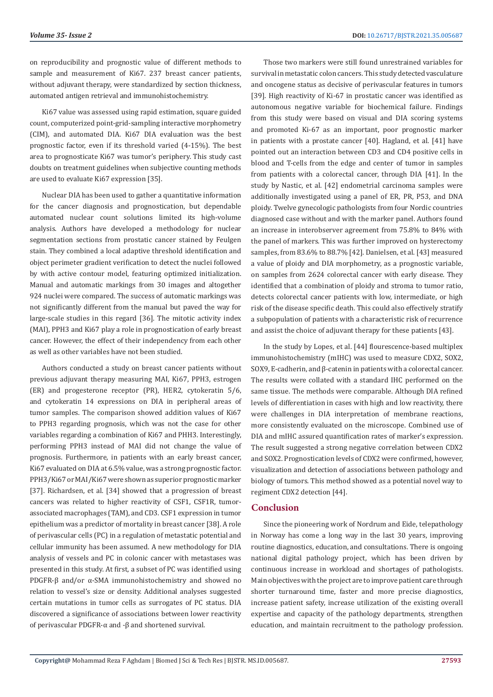on reproducibility and prognostic value of different methods to sample and measurement of Ki67. 237 breast cancer patients, without adjuvant therapy, were standardized by section thickness, automated antigen retrieval and immunohistochemistry.

Ki67 value was assessed using rapid estimation, square guided count, computerized point-grid-sampling interactive morphometry (CIM), and automated DIA. Ki67 DIA evaluation was the best prognostic factor, even if its threshold varied (4-15%). The best area to prognosticate Ki67 was tumor's periphery. This study cast doubts on treatment guidelines when subjective counting methods are used to evaluate Ki67 expression [35].

Nuclear DIA has been used to gather a quantitative information for the cancer diagnosis and prognostication, but dependable automated nuclear count solutions limited its high-volume analysis. Authors have developed a methodology for nuclear segmentation sections from prostatic cancer stained by Feulgen stain. They combined a local adaptive threshold identification and object perimeter gradient verification to detect the nuclei followed by with active contour model, featuring optimized initialization. Manual and automatic markings from 30 images and altogether 924 nuclei were compared. The success of automatic markings was not significantly different from the manual but paved the way for large-scale studies in this regard [36]. The mitotic activity index (MAI), PPH3 and Ki67 play a role in prognostication of early breast cancer. However, the effect of their independency from each other as well as other variables have not been studied.

Authors conducted a study on breast cancer patients without previous adjuvant therapy measuring MAI, Ki67, PPH3, estrogen (ER) and progesterone receptor (PR), HER2, cytokeratin 5/6, and cytokeratin 14 expressions on DIA in peripheral areas of tumor samples. The comparison showed addition values of Ki67 to PPH3 regarding prognosis, which was not the case for other variables regarding a combination of Ki67 and PHH3. Interestingly, performing PPH3 instead of MAI did not change the value of prognosis. Furthermore, in patients with an early breast cancer, Ki67 evaluated on DIA at 6.5% value, was a strong prognostic factor. PPH3/Ki67 or MAI/Ki67 were shown as superior prognostic marker [37]. Richardsen, et al. [34] showed that a progression of breast cancers was related to higher reactivity of CSF1, CSF1R, tumorassociated macrophages (TAM), and CD3. CSF1 expression in tumor epithelium was a predictor of mortality in breast cancer [38]. A role of perivascular cells (PC) in a regulation of metastatic potential and cellular immunity has been assumed. A new methodology for DIA analysis of vessels and PC in colonic cancer with metastases was presented in this study. At first, a subset of PC was identified using PDGFR-β and/or α-SMA immunohistochemistry and showed no relation to vessel's size or density. Additional analyses suggested certain mutations in tumor cells as surrogates of PC status. DIA discovered a significance of associations between lower reactivity of perivascular PDGFR-α and -β and shortened survival.

Those two markers were still found unrestrained variables for survival in metastatic colon cancers. This study detected vasculature and oncogene status as decisive of perivascular features in tumors [39]. High reactivity of Ki-67 in prostatic cancer was identified as autonomous negative variable for biochemical failure. Findings from this study were based on visual and DIA scoring systems and promoted Ki-67 as an important, poor prognostic marker in patients with a prostate cancer [40]. Hagland, et al. [41] have pointed out an interaction between CD3 and CD4 positive cells in blood and T-cells from the edge and center of tumor in samples from patients with a colorectal cancer, through DIA [41]. In the study by Nastic, et al. [42] endometrial carcinoma samples were additionally investigated using a panel of ER, PR, P53, and DNA ploidy. Twelve gynecologic pathologists from four Nordic countries diagnosed case without and with the marker panel. Authors found an increase in interobserver agreement from 75.8% to 84% with the panel of markers. This was further improved on hysterectomy samples, from 83.6% to 88.7% [42]. Danielsen, et al. [43] measured a value of ploidy and DIA morphometry, as a prognostic variable, on samples from 2624 colorectal cancer with early disease. They identified that a combination of ploidy and stroma to tumor ratio, detects colorectal cancer patients with low, intermediate, or high risk of the disease specific death. This could also effectively stratify a subpopulation of patients with a characteristic risk of recurrence and assist the choice of adjuvant therapy for these patients [43].

In the study by Lopes, et al. [44] flourescence-based multiplex immunohistochemistry (mIHC) was used to measure CDX2, SOX2, SOX9, E-cadherin, and β-catenin in patients with a colorectal cancer. The results were collated with a standard IHC performed on the same tissue. The methods were comparable. Although DIA refined levels of differentiation in cases with high and low reactivity, there were challenges in DIA interpretation of membrane reactions, more consistently evaluated on the microscope. Combined use of DIA and mIHC assured quantification rates of marker's expression. The result suggested a strong negative correlation between CDX2 and SOX2. Prognostication levels of CDX2 were confirmed, however, visualization and detection of associations between pathology and biology of tumors. This method showed as a potential novel way to regiment CDX2 detection [44].

#### **Conclusion**

Since the pioneering work of Nordrum and Eide, telepathology in Norway has come a long way in the last 30 years, improving routine diagnostics, education, and consultations. There is ongoing national digital pathology project, which has been driven by continuous increase in workload and shortages of pathologists. Main objectives with the project are to improve patient care through shorter turnaround time, faster and more precise diagnostics, increase patient safety, increase utilization of the existing overall expertise and capacity of the pathology departments, strengthen education, and maintain recruitment to the pathology profession.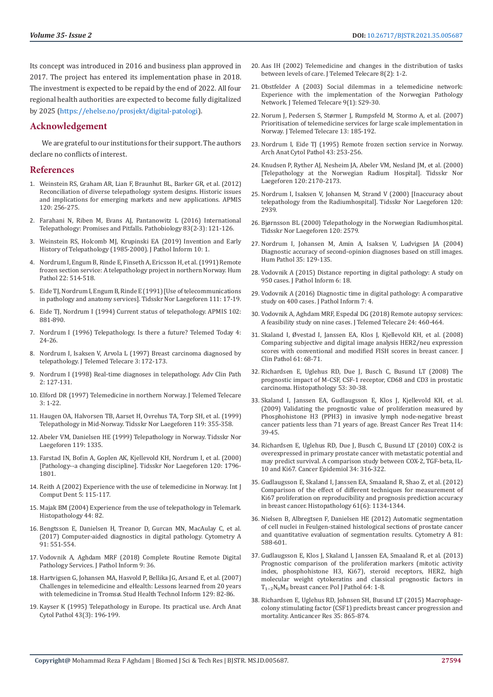Its concept was introduced in 2016 and business plan approved in 2017. The project has entered its implementation phase in 2018. The investment is expected to be repaid by the end of 2022. All four regional health authorities are expected to become fully digitalized by 2025 (<https://ehelse.no/prosjekt/digital-patologi>).

#### **Acknowledgement**

We are grateful to our institutions for their support. The authors declare no conflicts of interest.

#### **References**

- 1. [Weinstein RS, Graham AR, Lian F, Braunhut BL, Barker GR, et al. \(2012\)](https://pubmed.ncbi.nlm.nih.gov/22429209/)  [Reconciliation of diverse telepathology system designs. Historic issues](https://pubmed.ncbi.nlm.nih.gov/22429209/)  [and implications for emerging markets and new applications. APMIS](https://pubmed.ncbi.nlm.nih.gov/22429209/)  [120: 256-275.](https://pubmed.ncbi.nlm.nih.gov/22429209/)
- 2. Farahani N, Riben M, Evans AJ, Pantanowitz L (2016) International Telepathology: Promises and Pitfalls. Pathobiology 83(2-3): 121-126.
- 3. Weinstein RS, Holcomb MJ, Krupinski EA (2019) Invention and Early History of Telepathology (1985-2000). J Pathol Inform 10: 1.
- 4. Nordrum I, Engum B, Rinde E, Finseth A, Ericsson H, et al. (1991) Remote frozen section service: A telepathology project in northern Norway. Hum Pathol 22: 514-518.
- 5. [Eide TJ, Nordrum I, Engum B, Rinde E \(1991\) \[Use of telecommunications](https://pubmed.ncbi.nlm.nih.gov/2000579/)  [in pathology and anatomy services\]. Tidsskr Nor Laegeforen 111: 17-19.](https://pubmed.ncbi.nlm.nih.gov/2000579/)
- 6. [Eide TJ, Nordrum I \(1994\) Current status of telepathology. APMIS 102:](https://pubmed.ncbi.nlm.nih.gov/7888156/)  [881-890.](https://pubmed.ncbi.nlm.nih.gov/7888156/)
- 7. [Nordrum I \(1996\) Telepathology. Is there a future? Telemed Today 4:](https://pubmed.ncbi.nlm.nih.gov/10165534/)  [24-26.](https://pubmed.ncbi.nlm.nih.gov/10165534/)
- 8. Nordrum I, Isaksen V, Arvola L (1997) Breast carcinoma diagnosed by telepathology. J Telemed Telecare 3: 172-173.
- 9. Nordrum I (1998) Real-time diagnoses in telepathology. Adv Clin Path 2: 127-131.
- 10. Elford DR (1997) Telemedicine in northern Norway. J Telemed Telecare 3: 1-22.
- 11. [Haugen OA, Halvorsen TB, Aarset H, Ovrehus TA, Torp SH, et al. \(1999\)](https://pubmed.ncbi.nlm.nih.gov/10074829/)  [Telepathology in Mid-Norway. Tidsskr Nor Laegeforen 119: 355-358.](https://pubmed.ncbi.nlm.nih.gov/10074829/)
- 12. [Abeler VM, Danielsen HE \(1999\) Telepathology in Norway. Tidsskr Nor](https://pubmed.ncbi.nlm.nih.gov/10327860/)  [Laegeforen 119: 1335.](https://pubmed.ncbi.nlm.nih.gov/10327860/)
- 13. [Farstad IN, Bofin A, Goplen AK, Kjellevold KH, Nordrum I, et al. \(2000\)](https://pubmed.ncbi.nlm.nih.gov/10904671/)  [\[Pathology--a changing discipline\]. Tidsskr Nor Laegeforen 120: 1796-](https://pubmed.ncbi.nlm.nih.gov/10904671/) [1801.](https://pubmed.ncbi.nlm.nih.gov/10904671/)
- 14. [Reith A \(2002\) Experience with the use of telemedicine in Norway. Int J](https://www.quintessence-publishing.com/usa/en/article/833208/international-journal-of-computerized-dentistry/2002/02/experience-with-the-use-of-telemedicine-in-norway)  [Comput Dent 5: 115-117.](https://www.quintessence-publishing.com/usa/en/article/833208/international-journal-of-computerized-dentistry/2002/02/experience-with-the-use-of-telemedicine-in-norway)
- 15. [Majak BM \(2004\) Experience from the use of telepathology in Telemark.](https://pubmed.ncbi.nlm.nih.gov/14717674/)  [Histopathology 44: 82.](https://pubmed.ncbi.nlm.nih.gov/14717674/)
- 16. [Bengtsson E, Danielsen H, Treanor D, Gurcan MN, MacAulay C, et al.](https://pubmed.ncbi.nlm.nih.gov/28640523/)  [\(2017\) Computer-aided diagnostics in digital pathology. Cytometry A](https://pubmed.ncbi.nlm.nih.gov/28640523/)  [91: 551-554.](https://pubmed.ncbi.nlm.nih.gov/28640523/)
- 17. Vodovnik A, Aghdam MRF (2018) Complete Routine Remote Digital Pathology Services. J Pathol Inform 9: 36.
- 18. [Hartvigsen G, Johansen MA, Hasvold P, Bellika JG, Arsand E, et al. \(2007\)](https://pubmed.ncbi.nlm.nih.gov/17911683/)  [Challenges in telemedicine and eHealth: Lessons learned from 20 years](https://pubmed.ncbi.nlm.nih.gov/17911683/)  [with telemedicine in Tromsø. Stud Health Technol Inform 129: 82-86.](https://pubmed.ncbi.nlm.nih.gov/17911683/)
- 19. [Kayser K \(1995\) Telepathology in Europe. Its practical use. Arch Anat](https://pubmed.ncbi.nlm.nih.gov/8526551/)  [Cytol Pathol 43\(3\): 196-199.](https://pubmed.ncbi.nlm.nih.gov/8526551/)
- 20. [Aas IH \(2002\) Telemedicine and changes in the distribution of tasks](https://pubmed.ncbi.nlm.nih.gov/12217112/) [between levels of care. J Telemed Telecare 8\(2\): 1-2.](https://pubmed.ncbi.nlm.nih.gov/12217112/)
- 21. [Obstfelder A \(2003\) Social dilemmas in a telemedicine network:](https://pubmed.ncbi.nlm.nih.gov/12952713/) [Experience with the implementation of the Norwegian Pathology](https://pubmed.ncbi.nlm.nih.gov/12952713/) [Network. J Telemed Telecare 9\(1\): S29-30.](https://pubmed.ncbi.nlm.nih.gov/12952713/)
- 22. [Norum J, Pedersen S, Størmer J, Rumpsfeld M, Stormo A, et al. \(2007\)](https://pubmed.ncbi.nlm.nih.gov/17565774/) [Prioritisation of telemedicine services for large scale implementation in](https://pubmed.ncbi.nlm.nih.gov/17565774/) [Norway. J Telemed Telecare 13: 185-192.](https://pubmed.ncbi.nlm.nih.gov/17565774/)
- 23. [Nordrum I, Eide TJ \(1995\) Remote frozen section service in Norway.](https://pubmed.ncbi.nlm.nih.gov/8526562/) [Arch Anat Cytol Pathol 43: 253-256.](https://pubmed.ncbi.nlm.nih.gov/8526562/)
- 24. [Knudsen P, Ryther AJ, Nesheim JA, Abeler VM, Nesland JM, et al. \(2000\)](https://pubmed.ncbi.nlm.nih.gov/11006741/) [\[Telepathology at the Norwegian Radium Hospital\]. Tidsskr Nor](https://pubmed.ncbi.nlm.nih.gov/11006741/) [Laegeforen 120: 2170-2173.](https://pubmed.ncbi.nlm.nih.gov/11006741/)
- 25. [Nordrum I, Isaksen V, Johansen M, Strand V \(2000\) \[Inaccuracy about](https://pubmed.ncbi.nlm.nih.gov/11143420/) [telepathology from the Radiumhospital\]. Tidsskr Nor Laegeforen 120:](https://pubmed.ncbi.nlm.nih.gov/11143420/) [2939.](https://pubmed.ncbi.nlm.nih.gov/11143420/)
- 26. [Bjørnsson BL \(2000\) Telepathology in the Norwegian Radiumhospital.](https://pubmed.ncbi.nlm.nih.gov/11071002/) [Tidsskr Nor Laegeforen 120: 2579.](https://pubmed.ncbi.nlm.nih.gov/11071002/)
- 27. [Nordrum I, Johansen M, Amin A, Isaksen V, Ludvigsen JA \(2004\)](https://pubmed.ncbi.nlm.nih.gov/14745735/) [Diagnostic accuracy of second-opinion diagnoses based on still images.](https://pubmed.ncbi.nlm.nih.gov/14745735/) [Hum Pathol 35: 129-135.](https://pubmed.ncbi.nlm.nih.gov/14745735/)
- 28. [Vodovnik A \(2015\) Distance reporting in digital pathology: A study on](https://www.jpathinformatics.org/article.asp?issn=2153-3539;year=2015;volume=6;issue=1;spage=18;epage=18;aulast=Vodovnik) [950 cases. J Pathol Inform 6: 18.](https://www.jpathinformatics.org/article.asp?issn=2153-3539;year=2015;volume=6;issue=1;spage=18;epage=18;aulast=Vodovnik)
- 29. [Vodovnik A \(2016\) Diagnostic time in digital pathology: A comparative](https://pubmed.ncbi.nlm.nih.gov/26955502/) [study on 400 cases. J Pathol Inform 7: 4.](https://pubmed.ncbi.nlm.nih.gov/26955502/)
- 30. [Vodovnik A, Aghdam MRF, Espedal DG \(2018\) Remote autopsy services:](https://pubmed.ncbi.nlm.nih.gov/28537510/) [A feasibility study on nine cases. J Telemed Telecare 24: 460-464.](https://pubmed.ncbi.nlm.nih.gov/28537510/)
- 31. [Skaland I, Øvestad I, Janssen EA, Klos J, Kjellevold KH, et al. \(2008\)](https://pubmed.ncbi.nlm.nih.gov/17412872/) [Comparing subjective and digital image analysis HER2/neu expression](https://pubmed.ncbi.nlm.nih.gov/17412872/) [scores with conventional and modified FISH scores in breast cancer. J](https://pubmed.ncbi.nlm.nih.gov/17412872/) [Clin Pathol 61: 68-71.](https://pubmed.ncbi.nlm.nih.gov/17412872/)
- 32. Richardsen E, Uglehus RD, Due J, Busch C, Busund LT (2008) The prognostic impact of M-CSF, CSF-1 receptor, CD68 and CD3 in prostatic carcinoma. Histopathology 53: 30-38.
- 33. [Skaland I, Janssen EA, Gudlaugsson E, Klos J, Kjellevold KH, et al.](https://pubmed.ncbi.nlm.nih.gov/18373192/) [\(2009\) Validating the prognostic value of proliferation measured by](https://pubmed.ncbi.nlm.nih.gov/18373192/) [Phosphohistone H3 \(PPH3\) in invasive lymph node-negative breast](https://pubmed.ncbi.nlm.nih.gov/18373192/) [cancer patients less than 71 years of age. Breast Cancer Res Treat 114:](https://pubmed.ncbi.nlm.nih.gov/18373192/) [39-45.](https://pubmed.ncbi.nlm.nih.gov/18373192/)
- 34. [Richardsen E, Uglehus RD, Due J, Busch C, Busund LT \(2010\) COX-2 is](https://pubmed.ncbi.nlm.nih.gov/20409773/) [overexpressed in primary prostate cancer with metastatic potential and](https://pubmed.ncbi.nlm.nih.gov/20409773/) [may predict survival. A comparison study between COX-2, TGF-beta, IL-](https://pubmed.ncbi.nlm.nih.gov/20409773/)[10 and Ki67. Cancer Epidemiol 34: 316-322.](https://pubmed.ncbi.nlm.nih.gov/20409773/)
- 35. [Gudlaugsson E, Skaland I, Janssen EA, Smaaland R, Shao Z, et al. \(2012\)](https://pubmed.ncbi.nlm.nih.gov/22963617/) [Comparison of the effect of different techniques for measurement of](https://pubmed.ncbi.nlm.nih.gov/22963617/) [Ki67 proliferation on reproducibility and prognosis prediction accuracy](https://pubmed.ncbi.nlm.nih.gov/22963617/) [in breast cancer. Histopathology 61\(6\): 1134-1344.](https://pubmed.ncbi.nlm.nih.gov/22963617/)
- 36. Nielsen B, Albregtsen F, Danielsen HE (2012) Automatic segmentation of cell nuclei in Feulgen-stained histological sections of prostate cancer and quantitative evaluation of segmentation results. Cytometry A 81: 588-601.
- 37. [Gudlaugsson E, Klos J, Skaland I, Janssen EA, Smaaland R, et al. \(2013\)](https://pubmed.ncbi.nlm.nih.gov/23625593/) [Prognostic comparison of the proliferation markers \(mitotic activity](https://pubmed.ncbi.nlm.nih.gov/23625593/) [index, phosphohistone H3, Ki67\), steroid receptors, HER2, high](https://pubmed.ncbi.nlm.nih.gov/23625593/) [molecular weight cytokeratins and classical prognostic factors in](https://pubmed.ncbi.nlm.nih.gov/23625593/)  $T_{1-2}N_0M_0$  breast cancer. Pol J Pathol 64: 1-8.
- 38. Richardsen E, Uglehus RD, Johnsen SH, Busund LT (2015) Macrophagecolony stimulating factor (CSF1) predicts breast cancer progression and mortality. Anticancer Res 35: 865-874.